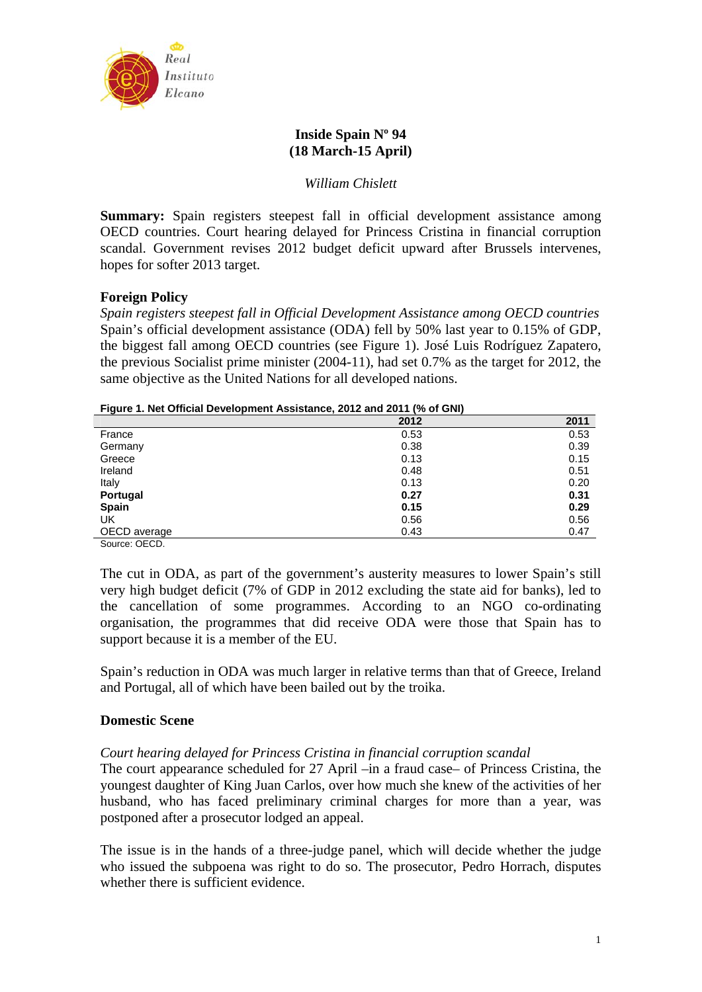

# **Inside Spain Nº 94 (18 March-15 April)**

# *William Chislett*

**Summary:** Spain registers steepest fall in official development assistance among OECD countries. Court hearing delayed for Princess Cristina in financial corruption scandal. Government revises 2012 budget deficit upward after Brussels intervenes, hopes for softer 2013 target.

# **Foreign Policy**

*Spain registers steepest fall in Official Development Assistance among OECD countries*  Spain's official development assistance (ODA) fell by 50% last year to 0.15% of GDP, the biggest fall among OECD countries (see Figure 1). José Luis Rodríguez Zapatero, the previous Socialist prime minister (2004-11), had set 0.7% as the target for 2012, the same objective as the United Nations for all developed nations.

### **Figure 1. Net Official Development Assistance, 2012 and 2011 (% of GNI)**

|               | 2012 | 2011 |
|---------------|------|------|
| France        | 0.53 | 0.53 |
| Germany       | 0.38 | 0.39 |
| Greece        | 0.13 | 0.15 |
| Ireland       | 0.48 | 0.51 |
| Italy         | 0.13 | 0.20 |
| Portugal      | 0.27 | 0.31 |
| <b>Spain</b>  | 0.15 | 0.29 |
| UK            | 0.56 | 0.56 |
| OECD average  | 0.43 | 0.47 |
| Source: OECD. |      |      |

The cut in ODA, as part of the government's austerity measures to lower Spain's still very high budget deficit (7% of GDP in 2012 excluding the state aid for banks), led to the cancellation of some programmes. According to an NGO co-ordinating organisation, the programmes that did receive ODA were those that Spain has to support because it is a member of the EU.

Spain's reduction in ODA was much larger in relative terms than that of Greece, Ireland and Portugal, all of which have been bailed out by the troika.

## **Domestic Scene**

## *Court hearing delayed for Princess Cristina in financial corruption scandal*

The court appearance scheduled for 27 April –in a fraud case– of Princess Cristina, the youngest daughter of King Juan Carlos, over how much she knew of the activities of her husband, who has faced preliminary criminal charges for more than a year, was postponed after a prosecutor lodged an appeal.

The issue is in the hands of a three-judge panel, which will decide whether the judge who issued the subpoena was right to do so. The prosecutor, Pedro Horrach, disputes whether there is sufficient evidence.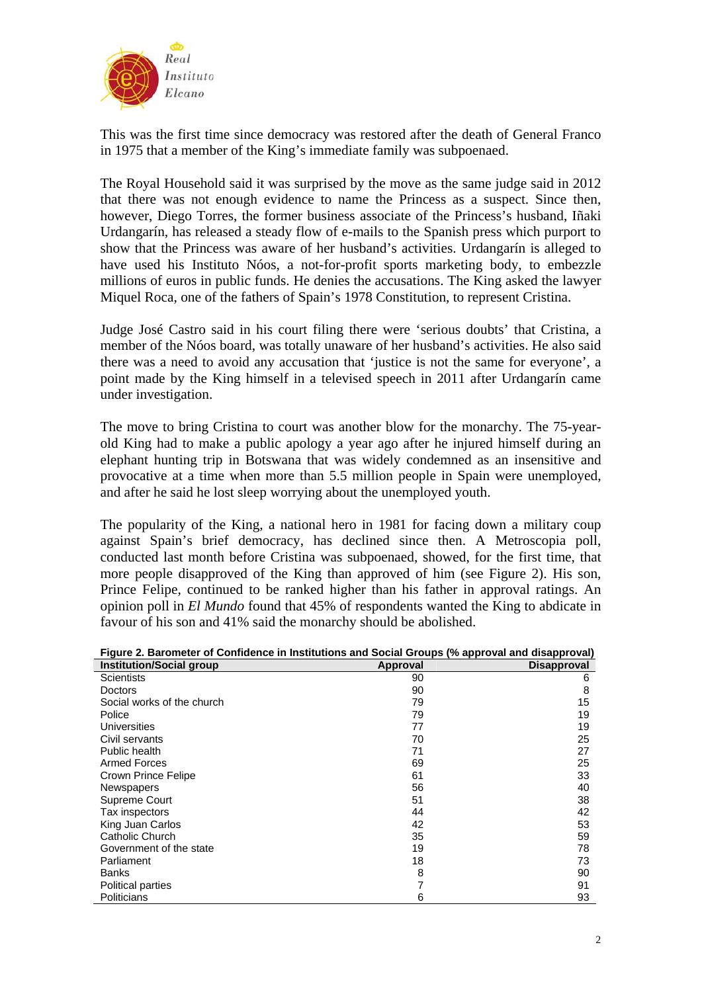

This was the first time since democracy was restored after the death of General Franco in 1975 that a member of the King's immediate family was subpoenaed.

The Royal Household said it was surprised by the move as the same judge said in 2012 that there was not enough evidence to name the Princess as a suspect. Since then, however, Diego Torres, the former business associate of the Princess's husband, Iñaki Urdangarín, has released a steady flow of e-mails to the Spanish press which purport to show that the Princess was aware of her husband's activities. Urdangarín is alleged to have used his Instituto Nóos, a not-for-profit sports marketing body, to embezzle millions of euros in public funds. He denies the accusations. The King asked the lawyer Miquel Roca, one of the fathers of Spain's 1978 Constitution, to represent Cristina.

Judge José Castro said in his court filing there were 'serious doubts' that Cristina, a member of the Nóos board, was totally unaware of her husband's activities. He also said there was a need to avoid any accusation that 'justice is not the same for everyone', a point made by the King himself in a televised speech in 2011 after Urdangarín came under investigation.

The move to bring Cristina to court was another blow for the monarchy. The 75-yearold King had to make a public apology a year ago after he injured himself during an elephant hunting trip in Botswana that was widely condemned as an insensitive and provocative at a time when more than 5.5 million people in Spain were unemployed, and after he said he lost sleep worrying about the unemployed youth.

The popularity of the King, a national hero in 1981 for facing down a military coup against Spain's brief democracy, has declined since then. A Metroscopia poll, conducted last month before Cristina was subpoenaed, showed, for the first time, that more people disapproved of the King than approved of him (see Figure 2). His son, Prince Felipe, continued to be ranked higher than his father in approval ratings. An opinion poll in *El Mundo* found that 45% of respondents wanted the King to abdicate in favour of his son and 41% said the monarchy should be abolished.

| Figure 2. Barometer of Confidence in Institutions and Social Groups (% approval and disapproval) |          |                    |
|--------------------------------------------------------------------------------------------------|----------|--------------------|
| <b>Institution/Social group</b>                                                                  | Approval | <b>Disapproval</b> |
| <b>Scientists</b>                                                                                | 90       | 6                  |
| <b>Doctors</b>                                                                                   | 90       | 8                  |
| Social works of the church                                                                       | 79       | 15                 |
| Police                                                                                           | 79       | 19                 |
| <b>Universities</b>                                                                              | 77       | 19                 |
| Civil servants                                                                                   | 70       | 25                 |
| Public health                                                                                    | 71       | 27                 |
| <b>Armed Forces</b>                                                                              | 69       | 25                 |
| Crown Prince Felipe                                                                              | 61       | 33                 |
| <b>Newspapers</b>                                                                                | 56       | 40                 |
| Supreme Court                                                                                    | 51       | 38                 |
| Tax inspectors                                                                                   | 44       | 42                 |
| King Juan Carlos                                                                                 | 42       | 53                 |
| Catholic Church                                                                                  | 35       | 59                 |
| Government of the state                                                                          | 19       | 78                 |
| Parliament                                                                                       | 18       | 73                 |
| Banks                                                                                            | 8        | 90                 |
| Political parties                                                                                | 7        | 91                 |
| Politicians                                                                                      | 6        | 93                 |

|   |  | Figure 2. Barometer of Confidence in Institutions and Social Groups (% approval and disapproval) |  |  |  |
|---|--|--------------------------------------------------------------------------------------------------|--|--|--|
| . |  | ,我们也不会有什么。""我们,我们也不会有什么?""我们,我们也不会有什么?""我们,我们也不会有什么?""我们,我们也不会有什么?""我们,我们也不会有什么?"                |  |  |  |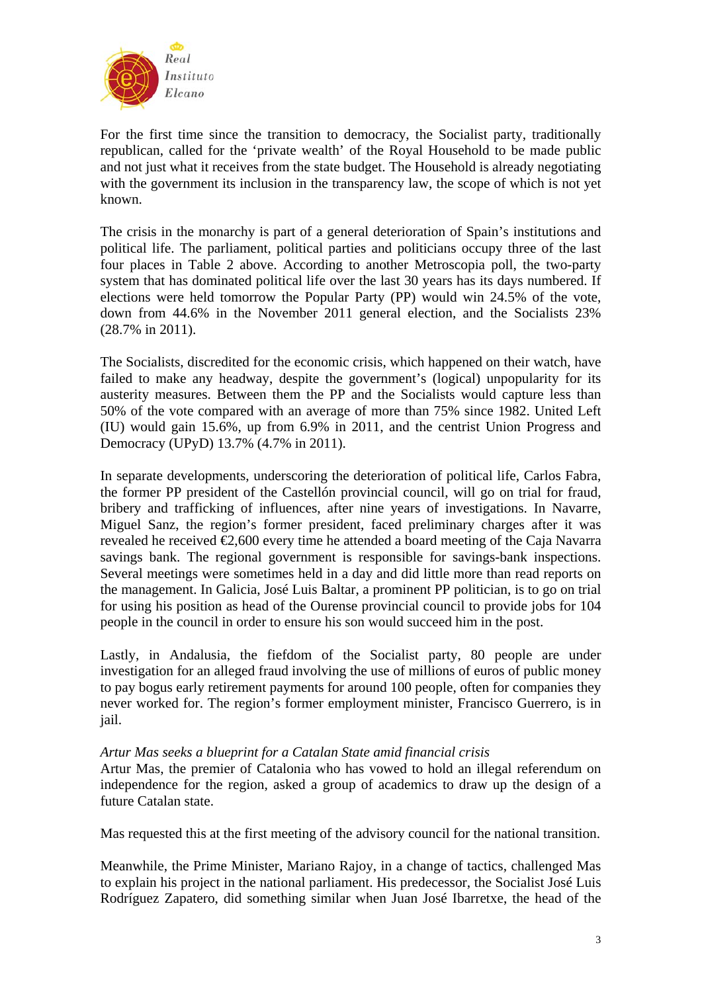

For the first time since the transition to democracy, the Socialist party, traditionally republican, called for the 'private wealth' of the Royal Household to be made public and not just what it receives from the state budget. The Household is already negotiating with the government its inclusion in the transparency law, the scope of which is not yet known.

The crisis in the monarchy is part of a general deterioration of Spain's institutions and political life. The parliament, political parties and politicians occupy three of the last four places in Table 2 above. According to another Metroscopia poll, the two-party system that has dominated political life over the last 30 years has its days numbered. If elections were held tomorrow the Popular Party (PP) would win 24.5% of the vote, down from 44.6% in the November 2011 general election, and the Socialists 23% (28.7% in 2011).

The Socialists, discredited for the economic crisis, which happened on their watch, have failed to make any headway, despite the government's (logical) unpopularity for its austerity measures. Between them the PP and the Socialists would capture less than 50% of the vote compared with an average of more than 75% since 1982. United Left (IU) would gain 15.6%, up from 6.9% in 2011, and the centrist Union Progress and Democracy (UPyD) 13.7% (4.7% in 2011).

In separate developments, underscoring the deterioration of political life, Carlos Fabra, the former PP president of the Castellón provincial council, will go on trial for fraud, bribery and trafficking of influences, after nine years of investigations. In Navarre, Miguel Sanz, the region's former president, faced preliminary charges after it was revealed he received  $\epsilon$ ,600 every time he attended a board meeting of the Caja Navarra savings bank. The regional government is responsible for savings-bank inspections. Several meetings were sometimes held in a day and did little more than read reports on the management. In Galicia, José Luis Baltar, a prominent PP politician, is to go on trial for using his position as head of the Ourense provincial council to provide jobs for 104 people in the council in order to ensure his son would succeed him in the post.

Lastly, in Andalusia, the fiefdom of the Socialist party, 80 people are under investigation for an alleged fraud involving the use of millions of euros of public money to pay bogus early retirement payments for around 100 people, often for companies they never worked for. The region's former employment minister, Francisco Guerrero, is in jail.

## *Artur Mas seeks a blueprint for a Catalan State amid financial crisis*

Artur Mas, the premier of Catalonia who has vowed to hold an illegal referendum on independence for the region, asked a group of academics to draw up the design of a future Catalan state.

Mas requested this at the first meeting of the advisory council for the national transition.

Meanwhile, the Prime Minister, Mariano Rajoy, in a change of tactics, challenged Mas to explain his project in the national parliament. His predecessor, the Socialist José Luis Rodríguez Zapatero, did something similar when Juan José Ibarretxe, the head of the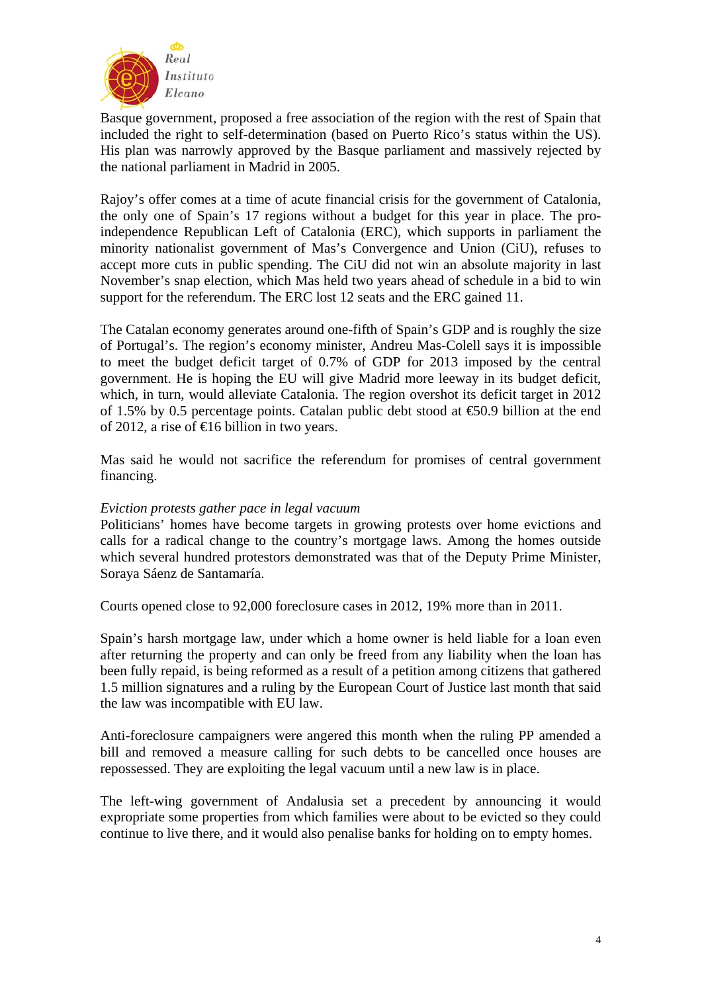

Basque government, proposed a free association of the region with the rest of Spain that included the right to self-determination (based on Puerto Rico's status within the US). His plan was narrowly approved by the Basque parliament and massively rejected by the national parliament in Madrid in 2005.

Rajoy's offer comes at a time of acute financial crisis for the government of Catalonia, the only one of Spain's 17 regions without a budget for this year in place. The proindependence Republican Left of Catalonia (ERC), which supports in parliament the minority nationalist government of Mas's Convergence and Union (CiU), refuses to accept more cuts in public spending. The CiU did not win an absolute majority in last November's snap election, which Mas held two years ahead of schedule in a bid to win support for the referendum. The ERC lost 12 seats and the ERC gained 11.

The Catalan economy generates around one-fifth of Spain's GDP and is roughly the size of Portugal's. The region's economy minister, Andreu Mas-Colell says it is impossible to meet the budget deficit target of 0.7% of GDP for 2013 imposed by the central government. He is hoping the EU will give Madrid more leeway in its budget deficit, which, in turn, would alleviate Catalonia. The region overshot its deficit target in 2012 of 1.5% by 0.5 percentage points. Catalan public debt stood at  $\epsilon$ 50.9 billion at the end of 2012, a rise of €16 billion in two years.

Mas said he would not sacrifice the referendum for promises of central government financing.

## *Eviction protests gather pace in legal vacuum*

Politicians' homes have become targets in growing protests over home evictions and calls for a radical change to the country's mortgage laws. Among the homes outside which several hundred protestors demonstrated was that of the Deputy Prime Minister, Soraya Sáenz de Santamaría.

Courts opened close to 92,000 foreclosure cases in 2012, 19% more than in 2011.

Spain's harsh mortgage law, under which a home owner is held liable for a loan even after returning the property and can only be freed from any liability when the loan has been fully repaid, is being reformed as a result of a petition among citizens that gathered 1.5 million signatures and a ruling by the European Court of Justice last month that said the law was incompatible with EU law.

Anti-foreclosure campaigners were angered this month when the ruling PP amended a bill and removed a measure calling for such debts to be cancelled once houses are repossessed. They are exploiting the legal vacuum until a new law is in place.

The left-wing government of Andalusia set a precedent by announcing it would expropriate some properties from which families were about to be evicted so they could continue to live there, and it would also penalise banks for holding on to empty homes.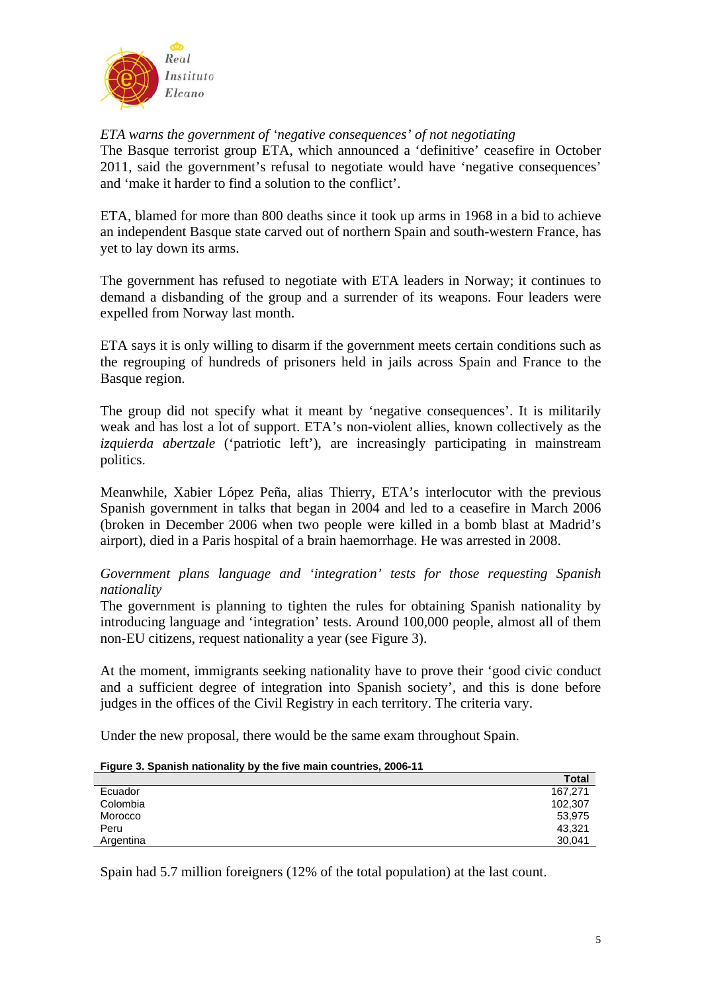

*ETA warns the government of 'negative consequences' of not negotiating* 

The Basque terrorist group ETA, which announced a 'definitive' ceasefire in October 2011, said the government's refusal to negotiate would have 'negative consequences' and 'make it harder to find a solution to the conflict'.

ETA, blamed for more than 800 deaths since it took up arms in 1968 in a bid to achieve an independent Basque state carved out of northern Spain and south-western France, has yet to lay down its arms.

The government has refused to negotiate with ETA leaders in Norway; it continues to demand a disbanding of the group and a surrender of its weapons. Four leaders were expelled from Norway last month.

ETA says it is only willing to disarm if the government meets certain conditions such as the regrouping of hundreds of prisoners held in jails across Spain and France to the Basque region.

The group did not specify what it meant by 'negative consequences'. It is militarily weak and has lost a lot of support. ETA's non-violent allies, known collectively as the *izquierda abertzale* ('patriotic left'), are increasingly participating in mainstream politics.

Meanwhile, Xabier López Peña, alias Thierry, ETA's interlocutor with the previous Spanish government in talks that began in 2004 and led to a ceasefire in March 2006 (broken in December 2006 when two people were killed in a bomb blast at Madrid's airport), died in a Paris hospital of a brain haemorrhage. He was arrested in 2008.

*Government plans language and 'integration' tests for those requesting Spanish nationality* 

The government is planning to tighten the rules for obtaining Spanish nationality by introducing language and 'integration' tests. Around 100,000 people, almost all of them non-EU citizens, request nationality a year (see Figure 3).

At the moment, immigrants seeking nationality have to prove their 'good civic conduct and a sufficient degree of integration into Spanish society', and this is done before judges in the offices of the Civil Registry in each territory. The criteria vary.

Under the new proposal, there would be the same exam throughout Spain.

#### **Figure 3. Spanish nationality by the five main countries, 2006-11**

|           | <b>Total</b> |
|-----------|--------------|
| Ecuador   | 167.271      |
| Colombia  | 102,307      |
| Morocco   | 53,975       |
| Peru      | 43,321       |
| Argentina | 30.041       |

Spain had 5.7 million foreigners (12% of the total population) at the last count.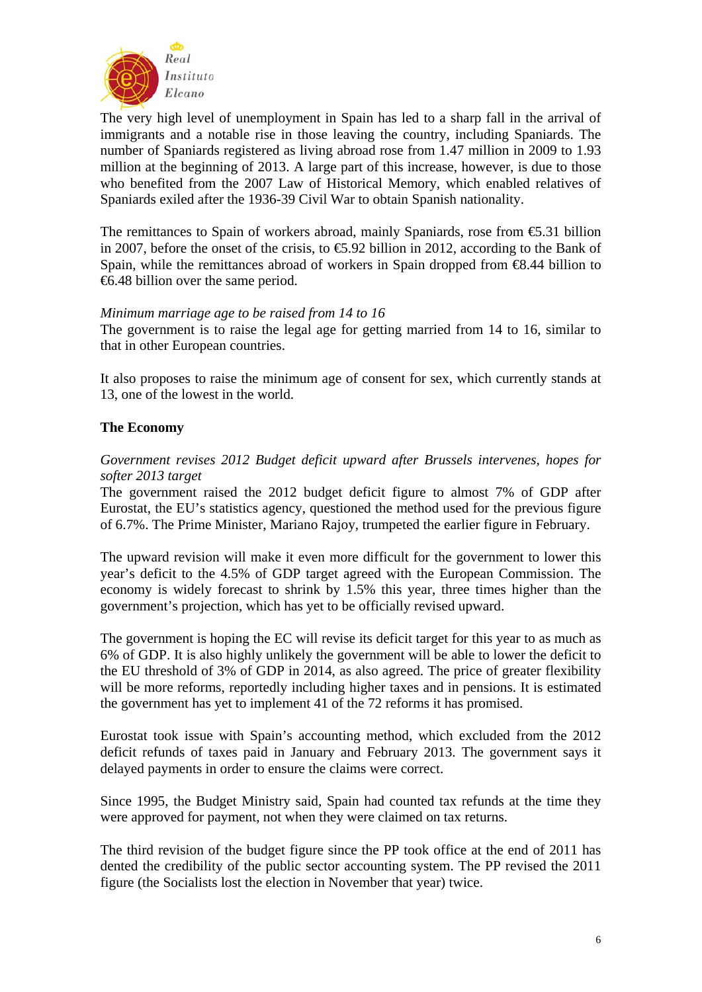

The very high level of unemployment in Spain has led to a sharp fall in the arrival of immigrants and a notable rise in those leaving the country, including Spaniards. The number of Spaniards registered as living abroad rose from 1.47 million in 2009 to 1.93 million at the beginning of 2013. A large part of this increase, however, is due to those who benefited from the 2007 Law of Historical Memory, which enabled relatives of Spaniards exiled after the 1936-39 Civil War to obtain Spanish nationality.

The remittances to Spain of workers abroad, mainly Spaniards, rose from  $\epsilon$ 5.31 billion in 2007, before the onset of the crisis, to  $\epsilon$ 5.92 billion in 2012, according to the Bank of Spain, while the remittances abroad of workers in Spain dropped from  $\epsilon 8.44$  billion to €6.48 billion over the same period.

# *Minimum marriage age to be raised from 14 to 16*

The government is to raise the legal age for getting married from 14 to 16, similar to that in other European countries.

It also proposes to raise the minimum age of consent for sex, which currently stands at 13, one of the lowest in the world.

# **The Economy**

# *Government revises 2012 Budget deficit upward after Brussels intervenes, hopes for softer 2013 target*

The government raised the 2012 budget deficit figure to almost 7% of GDP after Eurostat, the EU's statistics agency, questioned the method used for the previous figure of 6.7%. The Prime Minister, Mariano Rajoy, trumpeted the earlier figure in February.

The upward revision will make it even more difficult for the government to lower this year's deficit to the 4.5% of GDP target agreed with the European Commission. The economy is widely forecast to shrink by 1.5% this year, three times higher than the government's projection, which has yet to be officially revised upward.

The government is hoping the EC will revise its deficit target for this year to as much as 6% of GDP. It is also highly unlikely the government will be able to lower the deficit to the EU threshold of 3% of GDP in 2014, as also agreed. The price of greater flexibility will be more reforms, reportedly including higher taxes and in pensions. It is estimated the government has yet to implement 41 of the 72 reforms it has promised.

Eurostat took issue with Spain's accounting method, which excluded from the 2012 deficit refunds of taxes paid in January and February 2013. The government says it delayed payments in order to ensure the claims were correct.

Since 1995, the Budget Ministry said, Spain had counted tax refunds at the time they were approved for payment, not when they were claimed on tax returns.

The third revision of the budget figure since the PP took office at the end of 2011 has dented the credibility of the public sector accounting system. The PP revised the 2011 figure (the Socialists lost the election in November that year) twice.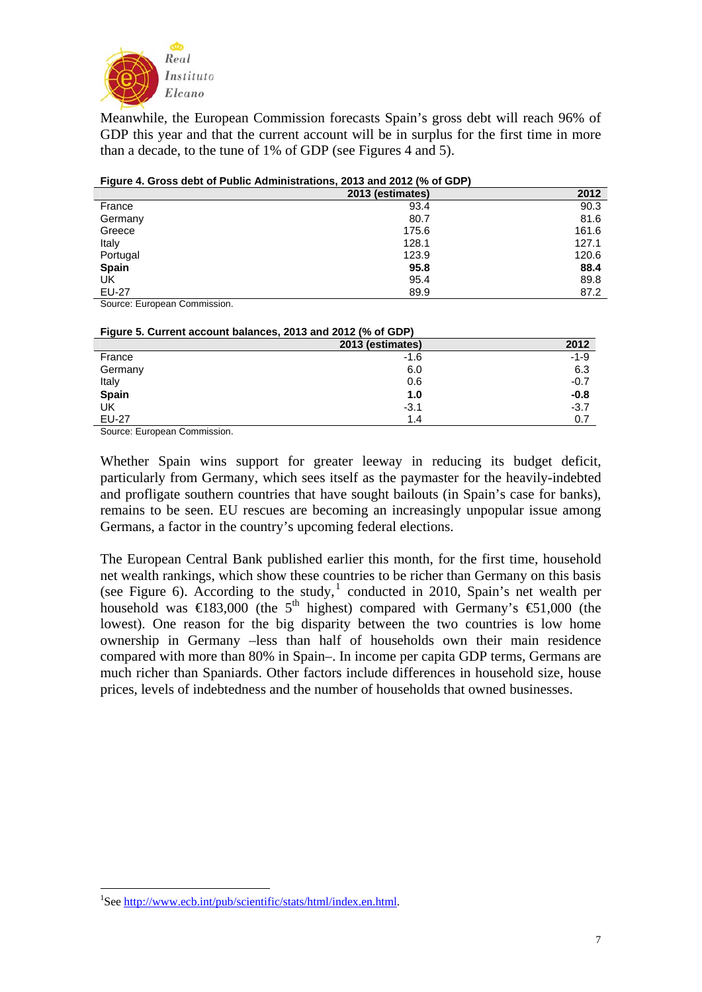

Meanwhile, the European Commission forecasts Spain's gross debt will reach 96% of GDP this year and that the current account will be in surplus for the first time in more than a decade, to the tune of 1% of GDP (see Figures 4 and 5).

| Figure 4. Gross debt of Public Administrations, 2013 and 2012 (% of GDP) |
|--------------------------------------------------------------------------|
|                                                                          |

|              | 2013 (estimates) | 2012  |
|--------------|------------------|-------|
| France       | 93.4             | 90.3  |
| Germany      | 80.7             | 81.6  |
| Greece       | 175.6            | 161.6 |
| Italy        | 128.1            | 127.1 |
| Portugal     | 123.9            | 120.6 |
| <b>Spain</b> | 95.8             | 88.4  |
| UK           | 95.4             | 89.8  |
| <b>EU-27</b> | 89.9             | 87.2  |

Source: European Commission.

| Figure 5. Current account balances, 2013 and 2012 (% of GDP) |                  |        |
|--------------------------------------------------------------|------------------|--------|
|                                                              | 2013 (estimates) | 2012   |
| France                                                       | -1.6             | $-1-9$ |
| Germany                                                      | 6.0              | 6.3    |
| Italy                                                        | 0.6              | $-0.7$ |
| Spain                                                        | 1.0              | $-0.8$ |
| UK                                                           | $-3.1$           | $-3.7$ |
| <b>EU-27</b>                                                 | 1.4              | 0.7    |

Source: European Commission.

Whether Spain wins support for greater leeway in reducing its budget deficit, particularly from Germany, which sees itself as the paymaster for the heavily-indebted and profligate southern countries that have sought bailouts (in Spain's case for banks), remains to be seen. EU rescues are becoming an increasingly unpopular issue among Germans, a factor in the country's upcoming federal elections.

The European Central Bank published earlier this month, for the first time, household net wealth rankings, which show these countries to be richer than Germany on this basis (see Figure 6). According to the study, $<sup>1</sup>$  $<sup>1</sup>$  $<sup>1</sup>$  conducted in 2010, Spain's net wealth per</sup> household was  $\in$ 183,000 (the 5<sup>th</sup> highest) compared with Germany's  $\in$ 1,000 (the lowest). One reason for the big disparity between the two countries is low home ownership in Germany –less than half of households own their main residence compared with more than 80% in Spain–. In income per capita GDP terms, Germans are much richer than Spaniards. Other factors include differences in household size, house prices, levels of indebtedness and the number of households that owned businesses.

<u>.</u>

<span id="page-6-0"></span><sup>&</sup>lt;sup>1</sup>See [http://www.ecb.int/pub/scientific/stats/html/index.en.html.](http://www.ecb.int/pub/scientific/stats/html/index.en.html)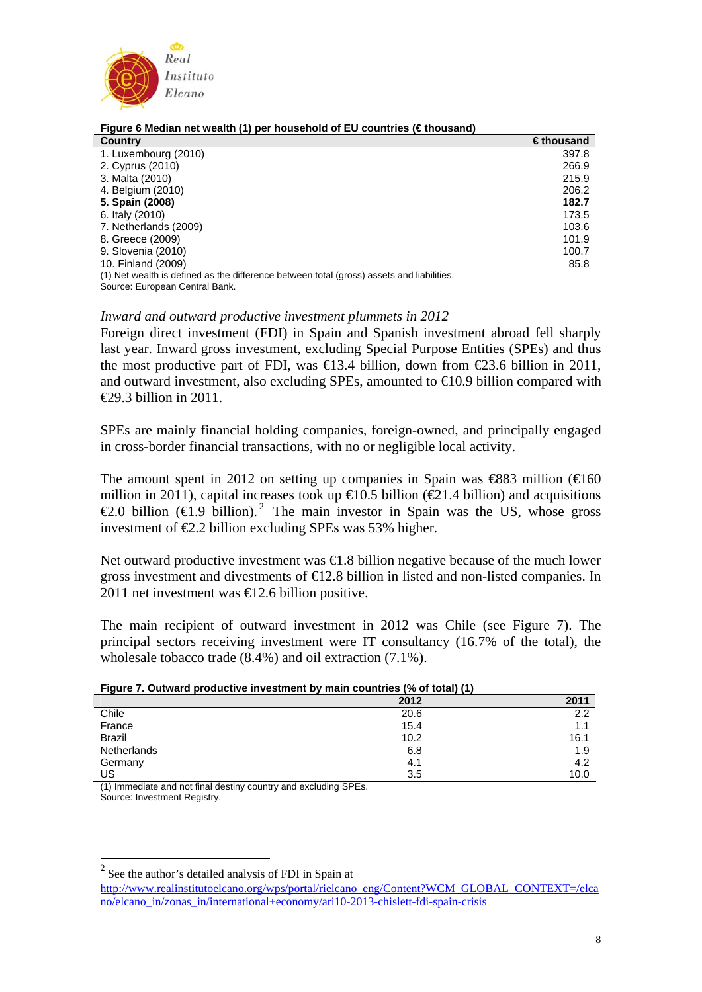

| <b>Country</b>        | $\epsilon$ thousand |
|-----------------------|---------------------|
| 1. Luxembourg (2010)  | 397.8               |
| 2. Cyprus (2010)      | 266.9               |
| 3. Malta (2010)       | 215.9               |
| 4. Belgium (2010)     | 206.2               |
| 5. Spain (2008)       | 182.7               |
| 6. Italy (2010)       | 173.5               |
| 7. Netherlands (2009) | 103.6               |
| 8. Greece (2009)      | 101.9               |
| 9. Slovenia (2010)    | 100.7               |
| 10. Finland (2009)    | 85.8                |

#### **Figure 6 Median net wealth (1) per household of EU countries (€ thousand)**

(1) Net wealth is defined as the difference between total (gross) assets and liabilities. Source: European Central Bank.

### *Inward and outward productive investment plummets in 2012*

Foreign direct investment (FDI) in Spain and Spanish investment abroad fell sharply last year. Inward gross investment, excluding Special Purpose Entities (SPEs) and thus the most productive part of FDI, was  $\in$  3.4 billion, down from  $\in$  23.6 billion in 2011, and outward investment, also excluding SPEs, amounted to  $\epsilon 0.9$  billion compared with  $\epsilon$ 29.3 billion in 2011

SPEs are mainly financial holding companies, foreign-owned, and principally engaged in cross-border financial transactions, with no or negligible local activity.

The amount spent in 2012 on setting up companies in Spain was  $\text{\textsterling}883$  million ( $\text{\textsterling}160$ ) million in 2011), capital increases took up  $\in$  0.5 billion ( $\in$  1.4 billion) and acquisitions €[2](#page-7-0).0 billion (€1.9 billion).<sup>2</sup> The main investor in Spain was the US, whose gross investment of  $\epsilon$ 2.2 billion excluding SPEs was 53% higher.

Net outward productive investment was €1.8 billion negative because of the much lower gross investment and divestments of €12.8 billion in listed and non-listed companies. In 2011 net investment was €12.6 billion positive.

The main recipient of outward investment in 2012 was Chile (see Figure 7). The principal sectors receiving investment were IT consultancy (16.7% of the total), the wholesale tobacco trade (8.4%) and oil extraction (7.1%).

| Figure 7. Outward productive investment by main countries (% of total) (1) |  |  |  |
|----------------------------------------------------------------------------|--|--|--|
|----------------------------------------------------------------------------|--|--|--|

|               | 2012 | 2011 |
|---------------|------|------|
| Chile         | 20.6 | 2.2  |
| France        | 15.4 | 1.1  |
| <b>Brazil</b> | 10.2 | 16.1 |
| Netherlands   | 6.8  | 1.9  |
| Germany       | 4.1  | 4.2  |
| US            | 3.5  | 10.0 |

(1) Immediate and not final destiny country and excluding SPEs. Source: Investment Registry.

 $2$  See the author's detailed analysis of FDI in Spain at

1

<span id="page-7-0"></span>[http://www.realinstitutoelcano.org/wps/portal/rielcano\\_eng/Content?WCM\\_GLOBAL\\_CONTEXT=/elca](http://www.realinstitutoelcano.org/wps/portal/rielcano_eng/Content?WCM_GLOBAL_CONTEXT=/elcano/elcano_in/zonas_in/international+economy/ari10-2013-chislett-fdi-spain-crisis) [no/elcano\\_in/zonas\\_in/international+economy/ari10-2013-chislett-fdi-spain-crisis](http://www.realinstitutoelcano.org/wps/portal/rielcano_eng/Content?WCM_GLOBAL_CONTEXT=/elcano/elcano_in/zonas_in/international+economy/ari10-2013-chislett-fdi-spain-crisis)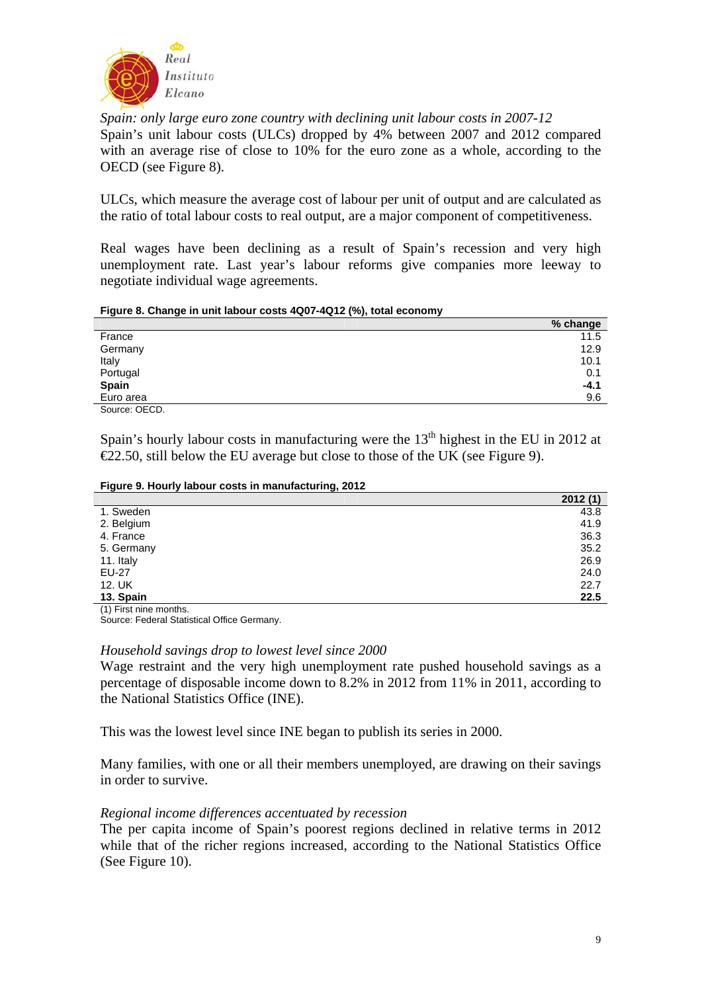

*Spain: only large euro zone country with declining unit labour costs in 2007-12*  Spain's unit labour costs (ULCs) dropped by 4% between 2007 and 2012 compared with an average rise of close to 10% for the euro zone as a whole, according to the OECD (see Figure 8).

ULCs, which measure the average cost of labour per unit of output and are calculated as the ratio of total labour costs to real output, are a major component of competitiveness.

Real wages have been declining as a result of Spain's recession and very high unemployment rate. Last year's labour reforms give companies more leeway to negotiate individual wage agreements.

#### **Figure 8. Change in unit labour costs 4Q07-4Q12 (%), total economy**

|              | % change |
|--------------|----------|
| France       | 11.5     |
| Germany      | 12.9     |
| Italy        | 10.1     |
| Portugal     | 0.1      |
| <b>Spain</b> | $-4.1$   |
| Euro area    | 9.6      |
| Source: OECD |          |

Spain's hourly labour costs in manufacturing were the  $13<sup>th</sup>$  highest in the EU in 2012 at  $E$ 2.50, still below the EU average but close to those of the UK (see Figure 9).

#### **Figure 9. Hourly labour costs in manufacturing, 2012**

|            | 2012(1) |
|------------|---------|
| 1. Sweden  | 43.8    |
| 2. Belgium | 41.9    |
| 4. France  | 36.3    |
| 5. Germany | 35.2    |
| 11. Italy  | 26.9    |
| EU-27      | 24.0    |
| 12. UK     | 22.7    |
| 13. Spain  | 22.5    |

(1) First nine months.

Source: Federal Statistical Office Germany.

#### *Household savings drop to lowest level since 2000*

Wage restraint and the very high unemployment rate pushed household savings as a percentage of disposable income down to 8.2% in 2012 from 11% in 2011, according to the National Statistics Office (INE).

This was the lowest level since INE began to publish its series in 2000.

Many families, with one or all their members unemployed, are drawing on their savings in order to survive.

## *Regional income differences accentuated by recession*

The per capita income of Spain's poorest regions declined in relative terms in 2012 while that of the richer regions increased, according to the National Statistics Office (See Figure 10).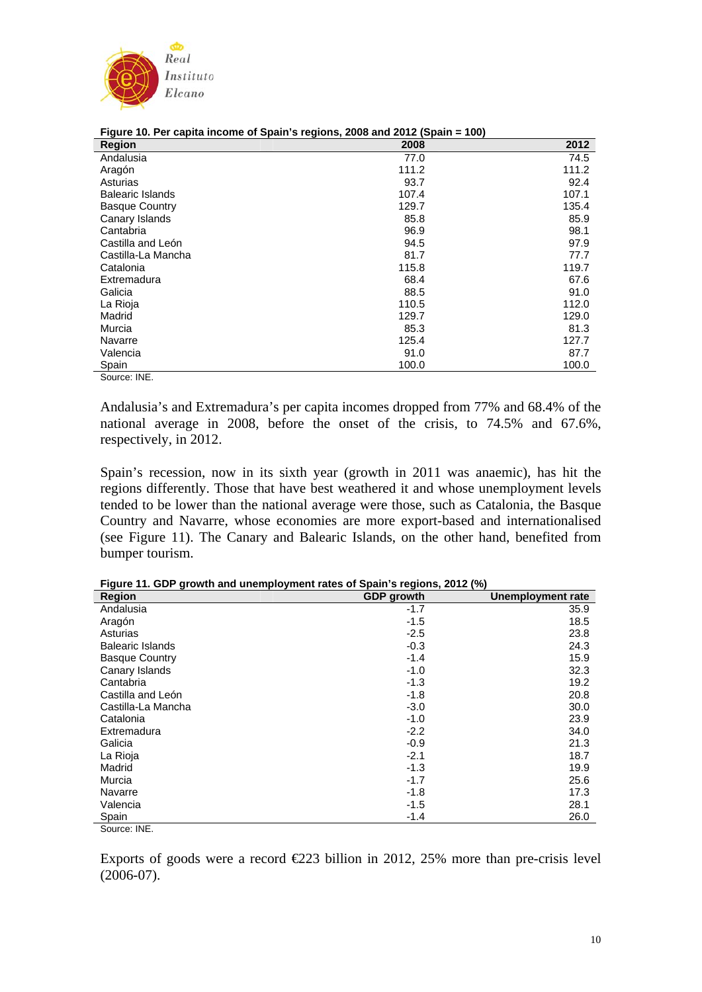

| <b>Region</b>           | 2008  | 2012  |
|-------------------------|-------|-------|
| Andalusia               | 77.0  | 74.5  |
| Aragón                  | 111.2 | 111.2 |
| Asturias                | 93.7  | 92.4  |
| <b>Balearic Islands</b> | 107.4 | 107.1 |
| <b>Basque Country</b>   | 129.7 | 135.4 |
| Canary Islands          | 85.8  | 85.9  |
| Cantabria               | 96.9  | 98.1  |
| Castilla and León       | 94.5  | 97.9  |
| Castilla-La Mancha      | 81.7  | 77.7  |
| Catalonia               | 115.8 | 119.7 |
| Extremadura             | 68.4  | 67.6  |
| Galicia                 | 88.5  | 91.0  |
| La Rioja                | 110.5 | 112.0 |
| Madrid                  | 129.7 | 129.0 |
| Murcia                  | 85.3  | 81.3  |
| Navarre                 | 125.4 | 127.7 |
| Valencia                | 91.0  | 87.7  |
| Spain                   | 100.0 | 100.0 |

**Figure 10. Per capita income of Spain's regions, 2008 and 2012 (Spain = 100)** 

Source: INE.

Andalusia's and Extremadura's per capita incomes dropped from 77% and 68.4% of the national average in 2008, before the onset of the crisis, to 74.5% and 67.6%, respectively, in 2012.

Spain's recession, now in its sixth year (growth in 2011 was anaemic), has hit the regions differently. Those that have best weathered it and whose unemployment levels tended to be lower than the national average were those, such as Catalonia, the Basque Country and Navarre, whose economies are more export-based and internationalised (see Figure 11). The Canary and Balearic Islands, on the other hand, benefited from bumper tourism.

**Figure 11. GDP growth and unemployment rates of Spain's regions, 2012 (%)** 

| <b>Region</b>           | <b>GDP</b> growth | <b>Unemployment rate</b> |
|-------------------------|-------------------|--------------------------|
| Andalusia               | $-1.7$            | 35.9                     |
| Aragón                  | $-1.5$            | 18.5                     |
| Asturias                | $-2.5$            | 23.8                     |
| <b>Balearic Islands</b> | $-0.3$            | 24.3                     |
| <b>Basque Country</b>   | $-1.4$            | 15.9                     |
| Canary Islands          | $-1.0$            | 32.3                     |
| Cantabria               | $-1.3$            | 19.2                     |
| Castilla and León       | $-1.8$            | 20.8                     |
| Castilla-La Mancha      | $-3.0$            | 30.0                     |
| Catalonia               | $-1.0$            | 23.9                     |
| Extremadura             | $-2.2$            | 34.0                     |
| Galicia                 | $-0.9$            | 21.3                     |
| La Rioja                | $-2.1$            | 18.7                     |
| Madrid                  | $-1.3$            | 19.9                     |
| Murcia                  | $-1.7$            | 25.6                     |
| Navarre                 | $-1.8$            | 17.3                     |
| Valencia                | $-1.5$            | 28.1                     |
| Spain                   | $-1.4$            | 26.0                     |
| Source: INE.            |                   |                          |

Exports of goods were a record  $\epsilon$ 223 billion in 2012, 25% more than pre-crisis level (2006-07).